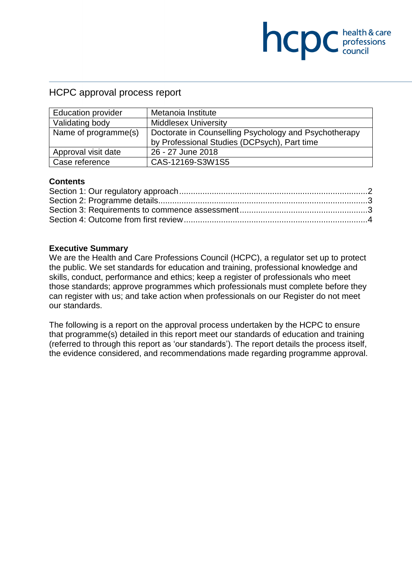## HCPC approval process report

| <b>Education provider</b> | Metanoia Institute                                    |
|---------------------------|-------------------------------------------------------|
| Validating body           | <b>Middlesex University</b>                           |
| Name of programme(s)      | Doctorate in Counselling Psychology and Psychotherapy |
|                           | by Professional Studies (DCPsych), Part time          |
| Approval visit date       | 26 - 27 June 2018                                     |
| Case reference            | CAS-12169-S3W1S5                                      |

**COC** health & care

#### **Contents**

#### **Executive Summary**

We are the Health and Care Professions Council (HCPC), a regulator set up to protect the public. We set standards for education and training, professional knowledge and skills, conduct, performance and ethics; keep a register of professionals who meet those standards; approve programmes which professionals must complete before they can register with us; and take action when professionals on our Register do not meet our standards.

The following is a report on the approval process undertaken by the HCPC to ensure that programme(s) detailed in this report meet our standards of education and training (referred to through this report as 'our standards'). The report details the process itself, the evidence considered, and recommendations made regarding programme approval.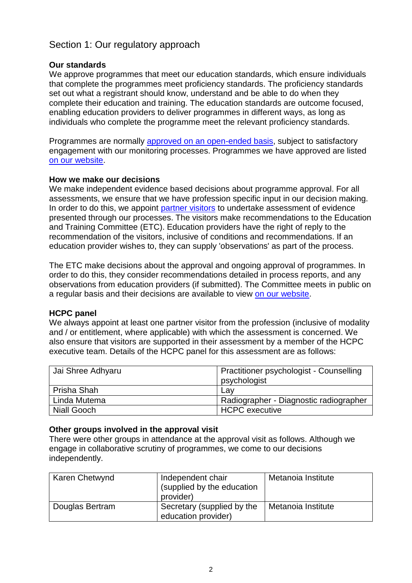# Section 1: Our regulatory approach

## **Our standards**

We approve programmes that meet our education standards, which ensure individuals that complete the programmes meet proficiency standards. The proficiency standards set out what a registrant should know, understand and be able to do when they complete their education and training. The education standards are outcome focused, enabling education providers to deliver programmes in different ways, as long as individuals who complete the programme meet the relevant proficiency standards.

Programmes are normally approved on an open-ended basis, subject to satisfactory engagement with our monitoring processes. Programmes we have approved are listed on our website.

#### **How we make our decisions**

We make independent evidence based decisions about programme approval. For all assessments, we ensure that we have profession specific input in our decision making. In order to do this, we appoint partner visitors to undertake assessment of evidence presented through our processes. The visitors make recommendations to the Education and Training Committee (ETC). Education providers have the right of reply to the recommendation of the visitors, inclusive of conditions and recommendations. If an education provider wishes to, they can supply 'observations' as part of the process.

The ETC make decisions about the approval and ongoing approval of programmes. In order to do this, they consider recommendations detailed in process reports, and any observations from education providers (if submitted). The Committee meets in public on a regular basis and their decisions are available to view on our website.

#### **HCPC panel**

We always appoint at least one partner visitor from the profession (inclusive of modality and / or entitlement, where applicable) with which the assessment is concerned. We also ensure that visitors are supported in their assessment by a member of the HCPC executive team. Details of the HCPC panel for this assessment are as follows:

| Jai Shree Adhyaru  | Practitioner psychologist - Counselling |
|--------------------|-----------------------------------------|
|                    | psychologist                            |
| Prisha Shah        | Lav                                     |
| Linda Mutema       | Radiographer - Diagnostic radiographer  |
| <b>Niall Gooch</b> | <b>HCPC</b> executive                   |

#### **Other groups involved in the approval visit**

There were other groups in attendance at the approval visit as follows. Although we engage in collaborative scrutiny of programmes, we come to our decisions independently.

| Karen Chetwynd  | Independent chair<br>(supplied by the education<br>provider) | Metanoia Institute |
|-----------------|--------------------------------------------------------------|--------------------|
| Douglas Bertram | Secretary (supplied by the<br>education provider)            | Metanoia Institute |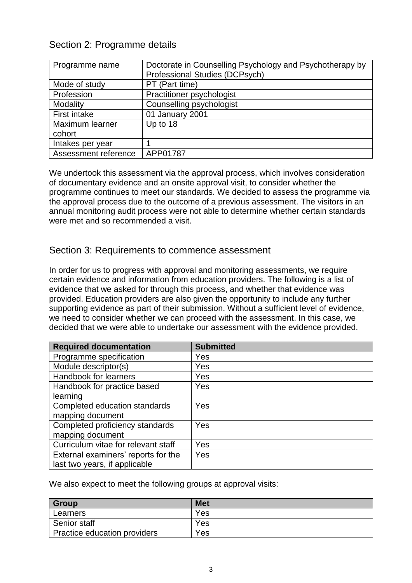## Section 2: Programme details

| Programme name       | Doctorate in Counselling Psychology and Psychotherapy by<br>Professional Studies (DCPsych) |
|----------------------|--------------------------------------------------------------------------------------------|
| Mode of study        | PT (Part time)                                                                             |
| Profession           | Practitioner psychologist                                                                  |
| Modality             | Counselling psychologist                                                                   |
| First intake         | 01 January 2001                                                                            |
| Maximum learner      | Up to 18                                                                                   |
| cohort               |                                                                                            |
| Intakes per year     |                                                                                            |
| Assessment reference | APP01787                                                                                   |

We undertook this assessment via the approval process, which involves consideration of documentary evidence and an onsite approval visit, to consider whether the programme continues to meet our standards. We decided to assess the programme via the approval process due to the outcome of a previous assessment. The visitors in an annual monitoring audit process were not able to determine whether certain standards were met and so recommended a visit.

## Section 3: Requirements to commence assessment

In order for us to progress with approval and monitoring assessments, we require certain evidence and information from education providers. The following is a list of evidence that we asked for through this process, and whether that evidence was provided. Education providers are also given the opportunity to include any further supporting evidence as part of their submission. Without a sufficient level of evidence, we need to consider whether we can proceed with the assessment. In this case, we decided that we were able to undertake our assessment with the evidence provided.

| <b>Required documentation</b>       | <b>Submitted</b> |
|-------------------------------------|------------------|
| Programme specification             | Yes              |
| Module descriptor(s)                | Yes              |
| Handbook for learners               | Yes              |
| Handbook for practice based         | Yes              |
| learning                            |                  |
| Completed education standards       | Yes              |
| mapping document                    |                  |
| Completed proficiency standards     | Yes              |
| mapping document                    |                  |
| Curriculum vitae for relevant staff | Yes              |
| External examiners' reports for the | Yes              |
| last two years, if applicable       |                  |

We also expect to meet the following groups at approval visits:

| <b>Group</b>                 | <b>Met</b> |
|------------------------------|------------|
| Learners                     | Yes        |
| Senior staff                 | Yes        |
| Practice education providers | Yes        |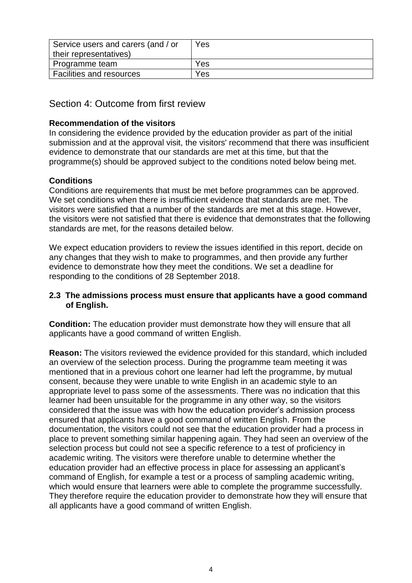| Service users and carers (and / or | Yes |
|------------------------------------|-----|
| their representatives)             |     |
| Programme team                     | Yes |
| Facilities and resources           | Yes |

# Section 4: Outcome from first review

## **Recommendation of the visitors**

In considering the evidence provided by the education provider as part of the initial submission and at the approval visit, the visitors' recommend that there was insufficient evidence to demonstrate that our standards are met at this time, but that the programme(s) should be approved subject to the conditions noted below being met.

## **Conditions**

Conditions are requirements that must be met before programmes can be approved. We set conditions when there is insufficient evidence that standards are met. The visitors were satisfied that a number of the standards are met at this stage. However, the visitors were not satisfied that there is evidence that demonstrates that the following standards are met, for the reasons detailed below.

We expect education providers to review the issues identified in this report, decide on any changes that they wish to make to programmes, and then provide any further evidence to demonstrate how they meet the conditions. We set a deadline for responding to the conditions of 28 September 2018.

#### **2.3 The admissions process must ensure that applicants have a good command of English.**

**Condition:** The education provider must demonstrate how they will ensure that all applicants have a good command of written English.

**Reason:** The visitors reviewed the evidence provided for this standard, which included an overview of the selection process. During the programme team meeting it was mentioned that in a previous cohort one learner had left the programme, by mutual consent, because they were unable to write English in an academic style to an appropriate level to pass some of the assessments. There was no indication that this learner had been unsuitable for the programme in any other way, so the visitors considered that the issue was with how the education provider's admission process ensured that applicants have a good command of written English. From the documentation, the visitors could not see that the education provider had a process in place to prevent something similar happening again. They had seen an overview of the selection process but could not see a specific reference to a test of proficiency in academic writing. The visitors were therefore unable to determine whether the education provider had an effective process in place for assessing an applicant's command of English, for example a test or a process of sampling academic writing, which would ensure that learners were able to complete the programme successfully. They therefore require the education provider to demonstrate how they will ensure that all applicants have a good command of written English.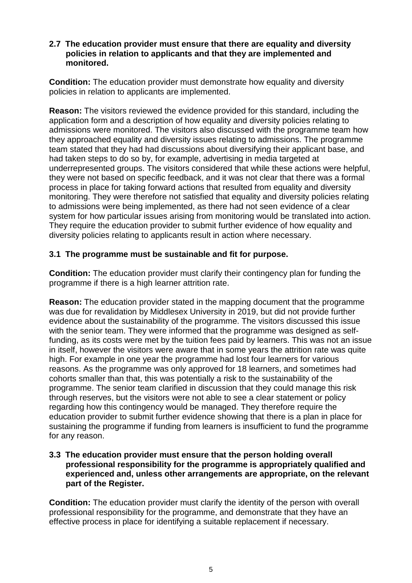#### **2.7 The education provider must ensure that there are equality and diversity policies in relation to applicants and that they are implemented and monitored.**

**Condition:** The education provider must demonstrate how equality and diversity policies in relation to applicants are implemented.

**Reason:** The visitors reviewed the evidence provided for this standard, including the application form and a description of how equality and diversity policies relating to admissions were monitored. The visitors also discussed with the programme team how they approached equality and diversity issues relating to admissions. The programme team stated that they had had discussions about diversifying their applicant base, and had taken steps to do so by, for example, advertising in media targeted at underrepresented groups. The visitors considered that while these actions were helpful, they were not based on specific feedback, and it was not clear that there was a formal process in place for taking forward actions that resulted from equality and diversity monitoring. They were therefore not satisfied that equality and diversity policies relating to admissions were being implemented, as there had not seen evidence of a clear system for how particular issues arising from monitoring would be translated into action. They require the education provider to submit further evidence of how equality and diversity policies relating to applicants result in action where necessary.

## **3.1 The programme must be sustainable and fit for purpose.**

**Condition:** The education provider must clarify their contingency plan for funding the programme if there is a high learner attrition rate.

**Reason:** The education provider stated in the mapping document that the programme was due for revalidation by Middlesex University in 2019, but did not provide further evidence about the sustainability of the programme. The visitors discussed this issue with the senior team. They were informed that the programme was designed as selffunding, as its costs were met by the tuition fees paid by learners. This was not an issue in itself, however the visitors were aware that in some years the attrition rate was quite high. For example in one year the programme had lost four learners for various reasons. As the programme was only approved for 18 learners, and sometimes had cohorts smaller than that, this was potentially a risk to the sustainability of the programme. The senior team clarified in discussion that they could manage this risk through reserves, but the visitors were not able to see a clear statement or policy regarding how this contingency would be managed. They therefore require the education provider to submit further evidence showing that there is a plan in place for sustaining the programme if funding from learners is insufficient to fund the programme for any reason.

#### **3.3 The education provider must ensure that the person holding overall professional responsibility for the programme is appropriately qualified and experienced and, unless other arrangements are appropriate, on the relevant part of the Register.**

**Condition:** The education provider must clarify the identity of the person with overall professional responsibility for the programme, and demonstrate that they have an effective process in place for identifying a suitable replacement if necessary.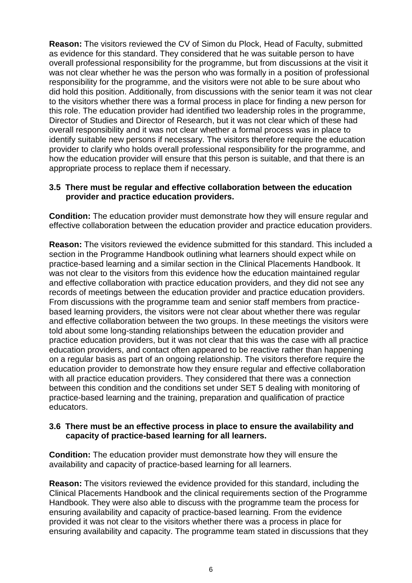**Reason:** The visitors reviewed the CV of Simon du Plock, Head of Faculty, submitted as evidence for this standard. They considered that he was suitable person to have overall professional responsibility for the programme, but from discussions at the visit it was not clear whether he was the person who was formally in a position of professional responsibility for the programme, and the visitors were not able to be sure about who did hold this position. Additionally, from discussions with the senior team it was not clear to the visitors whether there was a formal process in place for finding a new person for this role. The education provider had identified two leadership roles in the programme, Director of Studies and Director of Research, but it was not clear which of these had overall responsibility and it was not clear whether a formal process was in place to identify suitable new persons if necessary. The visitors therefore require the education provider to clarify who holds overall professional responsibility for the programme, and how the education provider will ensure that this person is suitable, and that there is an appropriate process to replace them if necessary.

#### **3.5 There must be regular and effective collaboration between the education provider and practice education providers.**

**Condition:** The education provider must demonstrate how they will ensure regular and effective collaboration between the education provider and practice education providers.

**Reason:** The visitors reviewed the evidence submitted for this standard. This included a section in the Programme Handbook outlining what learners should expect while on practice-based learning and a similar section in the Clinical Placements Handbook. It was not clear to the visitors from this evidence how the education maintained regular and effective collaboration with practice education providers, and they did not see any records of meetings between the education provider and practice education providers. From discussions with the programme team and senior staff members from practicebased learning providers, the visitors were not clear about whether there was regular and effective collaboration between the two groups. In these meetings the visitors were told about some long-standing relationships between the education provider and practice education providers, but it was not clear that this was the case with all practice education providers, and contact often appeared to be reactive rather than happening on a regular basis as part of an ongoing relationship. The visitors therefore require the education provider to demonstrate how they ensure regular and effective collaboration with all practice education providers. They considered that there was a connection between this condition and the conditions set under SET 5 dealing with monitoring of practice-based learning and the training, preparation and qualification of practice educators.

#### **3.6 There must be an effective process in place to ensure the availability and capacity of practice-based learning for all learners.**

**Condition:** The education provider must demonstrate how they will ensure the availability and capacity of practice-based learning for all learners.

**Reason:** The visitors reviewed the evidence provided for this standard, including the Clinical Placements Handbook and the clinical requirements section of the Programme Handbook. They were also able to discuss with the programme team the process for ensuring availability and capacity of practice-based learning. From the evidence provided it was not clear to the visitors whether there was a process in place for ensuring availability and capacity. The programme team stated in discussions that they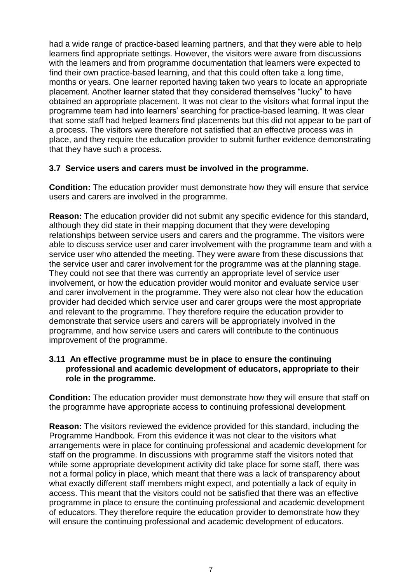had a wide range of practice-based learning partners, and that they were able to help learners find appropriate settings. However, the visitors were aware from discussions with the learners and from programme documentation that learners were expected to find their own practice-based learning, and that this could often take a long time, months or years. One learner reported having taken two years to locate an appropriate placement. Another learner stated that they considered themselves "lucky" to have obtained an appropriate placement. It was not clear to the visitors what formal input the programme team had into learners' searching for practice-based learning. It was clear that some staff had helped learners find placements but this did not appear to be part of a process. The visitors were therefore not satisfied that an effective process was in place, and they require the education provider to submit further evidence demonstrating that they have such a process.

## **3.7 Service users and carers must be involved in the programme.**

**Condition:** The education provider must demonstrate how they will ensure that service users and carers are involved in the programme.

**Reason:** The education provider did not submit any specific evidence for this standard, although they did state in their mapping document that they were developing relationships between service users and carers and the programme. The visitors were able to discuss service user and carer involvement with the programme team and with a service user who attended the meeting. They were aware from these discussions that the service user and carer involvement for the programme was at the planning stage. They could not see that there was currently an appropriate level of service user involvement, or how the education provider would monitor and evaluate service user and carer involvement in the programme. They were also not clear how the education provider had decided which service user and carer groups were the most appropriate and relevant to the programme. They therefore require the education provider to demonstrate that service users and carers will be appropriately involved in the programme, and how service users and carers will contribute to the continuous improvement of the programme.

## **3.11 An effective programme must be in place to ensure the continuing professional and academic development of educators, appropriate to their role in the programme.**

**Condition:** The education provider must demonstrate how they will ensure that staff on the programme have appropriate access to continuing professional development.

**Reason:** The visitors reviewed the evidence provided for this standard, including the Programme Handbook. From this evidence it was not clear to the visitors what arrangements were in place for continuing professional and academic development for staff on the programme. In discussions with programme staff the visitors noted that while some appropriate development activity did take place for some staff, there was not a formal policy in place, which meant that there was a lack of transparency about what exactly different staff members might expect, and potentially a lack of equity in access. This meant that the visitors could not be satisfied that there was an effective programme in place to ensure the continuing professional and academic development of educators. They therefore require the education provider to demonstrate how they will ensure the continuing professional and academic development of educators.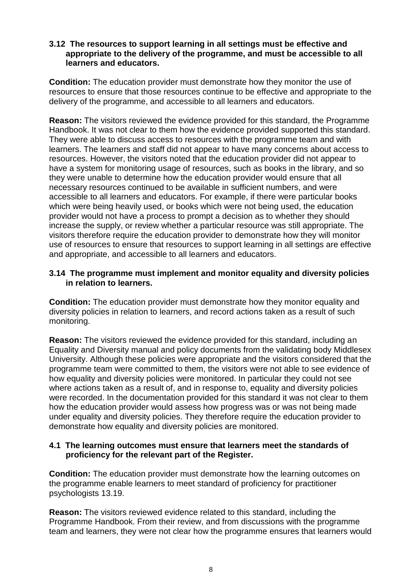#### **3.12 The resources to support learning in all settings must be effective and appropriate to the delivery of the programme, and must be accessible to all learners and educators.**

**Condition:** The education provider must demonstrate how they monitor the use of resources to ensure that those resources continue to be effective and appropriate to the delivery of the programme, and accessible to all learners and educators.

**Reason:** The visitors reviewed the evidence provided for this standard, the Programme Handbook. It was not clear to them how the evidence provided supported this standard. They were able to discuss access to resources with the programme team and with learners. The learners and staff did not appear to have many concerns about access to resources. However, the visitors noted that the education provider did not appear to have a system for monitoring usage of resources, such as books in the library, and so they were unable to determine how the education provider would ensure that all necessary resources continued to be available in sufficient numbers, and were accessible to all learners and educators. For example, if there were particular books which were being heavily used, or books which were not being used, the education provider would not have a process to prompt a decision as to whether they should increase the supply, or review whether a particular resource was still appropriate. The visitors therefore require the education provider to demonstrate how they will monitor use of resources to ensure that resources to support learning in all settings are effective and appropriate, and accessible to all learners and educators.

#### **3.14 The programme must implement and monitor equality and diversity policies in relation to learners.**

**Condition:** The education provider must demonstrate how they monitor equality and diversity policies in relation to learners, and record actions taken as a result of such monitoring.

**Reason:** The visitors reviewed the evidence provided for this standard, including an Equality and Diversity manual and policy documents from the validating body Middlesex University. Although these policies were appropriate and the visitors considered that the programme team were committed to them, the visitors were not able to see evidence of how equality and diversity policies were monitored. In particular they could not see where actions taken as a result of, and in response to, equality and diversity policies were recorded. In the documentation provided for this standard it was not clear to them how the education provider would assess how progress was or was not being made under equality and diversity policies. They therefore require the education provider to demonstrate how equality and diversity policies are monitored.

## **4.1 The learning outcomes must ensure that learners meet the standards of proficiency for the relevant part of the Register.**

**Condition:** The education provider must demonstrate how the learning outcomes on the programme enable learners to meet standard of proficiency for practitioner psychologists 13.19.

**Reason:** The visitors reviewed evidence related to this standard, including the Programme Handbook. From their review, and from discussions with the programme team and learners, they were not clear how the programme ensures that learners would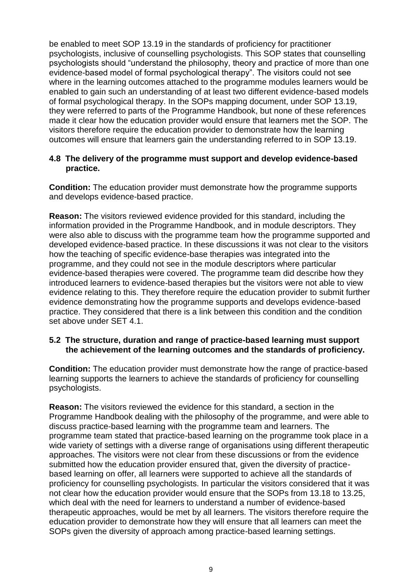be enabled to meet SOP 13.19 in the standards of proficiency for practitioner psychologists, inclusive of counselling psychologists. This SOP states that counselling psychologists should "understand the philosophy, theory and practice of more than one evidence-based model of formal psychological therapy". The visitors could not see where in the learning outcomes attached to the programme modules learners would be enabled to gain such an understanding of at least two different evidence-based models of formal psychological therapy. In the SOPs mapping document, under SOP 13.19, they were referred to parts of the Programme Handbook, but none of these references made it clear how the education provider would ensure that learners met the SOP. The visitors therefore require the education provider to demonstrate how the learning outcomes will ensure that learners gain the understanding referred to in SOP 13.19.

#### **4.8 The delivery of the programme must support and develop evidence-based practice.**

**Condition:** The education provider must demonstrate how the programme supports and develops evidence-based practice.

**Reason:** The visitors reviewed evidence provided for this standard, including the information provided in the Programme Handbook, and in module descriptors. They were also able to discuss with the programme team how the programme supported and developed evidence-based practice. In these discussions it was not clear to the visitors how the teaching of specific evidence-base therapies was integrated into the programme, and they could not see in the module descriptors where particular evidence-based therapies were covered. The programme team did describe how they introduced learners to evidence-based therapies but the visitors were not able to view evidence relating to this. They therefore require the education provider to submit further evidence demonstrating how the programme supports and develops evidence-based practice. They considered that there is a link between this condition and the condition set above under SET 4.1.

#### **5.2 The structure, duration and range of practice-based learning must support the achievement of the learning outcomes and the standards of proficiency.**

**Condition:** The education provider must demonstrate how the range of practice-based learning supports the learners to achieve the standards of proficiency for counselling psychologists.

**Reason:** The visitors reviewed the evidence for this standard, a section in the Programme Handbook dealing with the philosophy of the programme, and were able to discuss practice-based learning with the programme team and learners. The programme team stated that practice-based learning on the programme took place in a wide variety of settings with a diverse range of organisations using different therapeutic approaches. The visitors were not clear from these discussions or from the evidence submitted how the education provider ensured that, given the diversity of practicebased learning on offer, all learners were supported to achieve all the standards of proficiency for counselling psychologists. In particular the visitors considered that it was not clear how the education provider would ensure that the SOPs from 13.18 to 13.25, which deal with the need for learners to understand a number of evidence-based therapeutic approaches, would be met by all learners. The visitors therefore require the education provider to demonstrate how they will ensure that all learners can meet the SOPs given the diversity of approach among practice-based learning settings.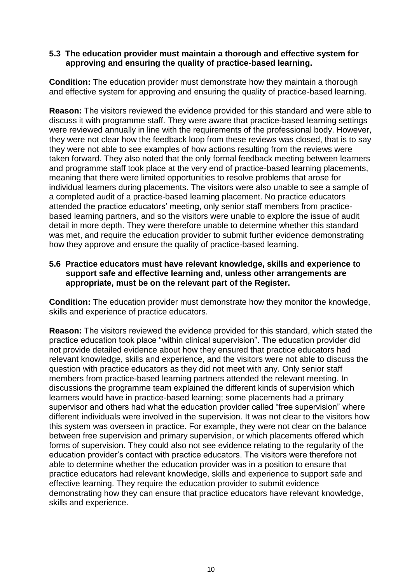#### **5.3 The education provider must maintain a thorough and effective system for approving and ensuring the quality of practice-based learning.**

**Condition:** The education provider must demonstrate how they maintain a thorough and effective system for approving and ensuring the quality of practice-based learning.

**Reason:** The visitors reviewed the evidence provided for this standard and were able to discuss it with programme staff. They were aware that practice-based learning settings were reviewed annually in line with the requirements of the professional body. However, they were not clear how the feedback loop from these reviews was closed, that is to say they were not able to see examples of how actions resulting from the reviews were taken forward. They also noted that the only formal feedback meeting between learners and programme staff took place at the very end of practice-based learning placements, meaning that there were limited opportunities to resolve problems that arose for individual learners during placements. The visitors were also unable to see a sample of a completed audit of a practice-based learning placement. No practice educators attended the practice educators' meeting, only senior staff members from practicebased learning partners, and so the visitors were unable to explore the issue of audit detail in more depth. They were therefore unable to determine whether this standard was met, and require the education provider to submit further evidence demonstrating how they approve and ensure the quality of practice-based learning.

#### **5.6 Practice educators must have relevant knowledge, skills and experience to support safe and effective learning and, unless other arrangements are appropriate, must be on the relevant part of the Register.**

**Condition:** The education provider must demonstrate how they monitor the knowledge, skills and experience of practice educators.

**Reason:** The visitors reviewed the evidence provided for this standard, which stated the practice education took place "within clinical supervision". The education provider did not provide detailed evidence about how they ensured that practice educators had relevant knowledge, skills and experience, and the visitors were not able to discuss the question with practice educators as they did not meet with any. Only senior staff members from practice-based learning partners attended the relevant meeting. In discussions the programme team explained the different kinds of supervision which learners would have in practice-based learning; some placements had a primary supervisor and others had what the education provider called "free supervision" where different individuals were involved in the supervision. It was not clear to the visitors how this system was overseen in practice. For example, they were not clear on the balance between free supervision and primary supervision, or which placements offered which forms of supervision. They could also not see evidence relating to the regularity of the education provider's contact with practice educators. The visitors were therefore not able to determine whether the education provider was in a position to ensure that practice educators had relevant knowledge, skills and experience to support safe and effective learning. They require the education provider to submit evidence demonstrating how they can ensure that practice educators have relevant knowledge, skills and experience.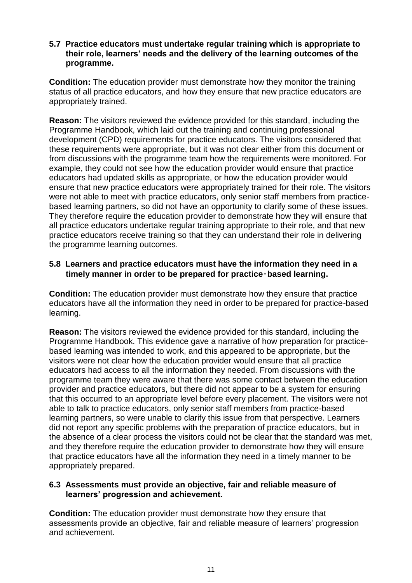#### **5.7 Practice educators must undertake regular training which is appropriate to their role, learners' needs and the delivery of the learning outcomes of the programme.**

**Condition:** The education provider must demonstrate how they monitor the training status of all practice educators, and how they ensure that new practice educators are appropriately trained.

**Reason:** The visitors reviewed the evidence provided for this standard, including the Programme Handbook, which laid out the training and continuing professional development (CPD) requirements for practice educators. The visitors considered that these requirements were appropriate, but it was not clear either from this document or from discussions with the programme team how the requirements were monitored. For example, they could not see how the education provider would ensure that practice educators had updated skills as appropriate, or how the education provider would ensure that new practice educators were appropriately trained for their role. The visitors were not able to meet with practice educators, only senior staff members from practicebased learning partners, so did not have an opportunity to clarify some of these issues. They therefore require the education provider to demonstrate how they will ensure that all practice educators undertake regular training appropriate to their role, and that new practice educators receive training so that they can understand their role in delivering the programme learning outcomes.

## **5.8 Learners and practice educators must have the information they need in a timely manner in order to be prepared for practice**‑**based learning.**

**Condition:** The education provider must demonstrate how they ensure that practice educators have all the information they need in order to be prepared for practice-based learning.

**Reason:** The visitors reviewed the evidence provided for this standard, including the Programme Handbook. This evidence gave a narrative of how preparation for practicebased learning was intended to work, and this appeared to be appropriate, but the visitors were not clear how the education provider would ensure that all practice educators had access to all the information they needed. From discussions with the programme team they were aware that there was some contact between the education provider and practice educators, but there did not appear to be a system for ensuring that this occurred to an appropriate level before every placement. The visitors were not able to talk to practice educators, only senior staff members from practice-based learning partners, so were unable to clarify this issue from that perspective. Learners did not report any specific problems with the preparation of practice educators, but in the absence of a clear process the visitors could not be clear that the standard was met, and they therefore require the education provider to demonstrate how they will ensure that practice educators have all the information they need in a timely manner to be appropriately prepared.

#### **6.3 Assessments must provide an objective, fair and reliable measure of learners' progression and achievement.**

**Condition:** The education provider must demonstrate how they ensure that assessments provide an objective, fair and reliable measure of learners' progression and achievement.